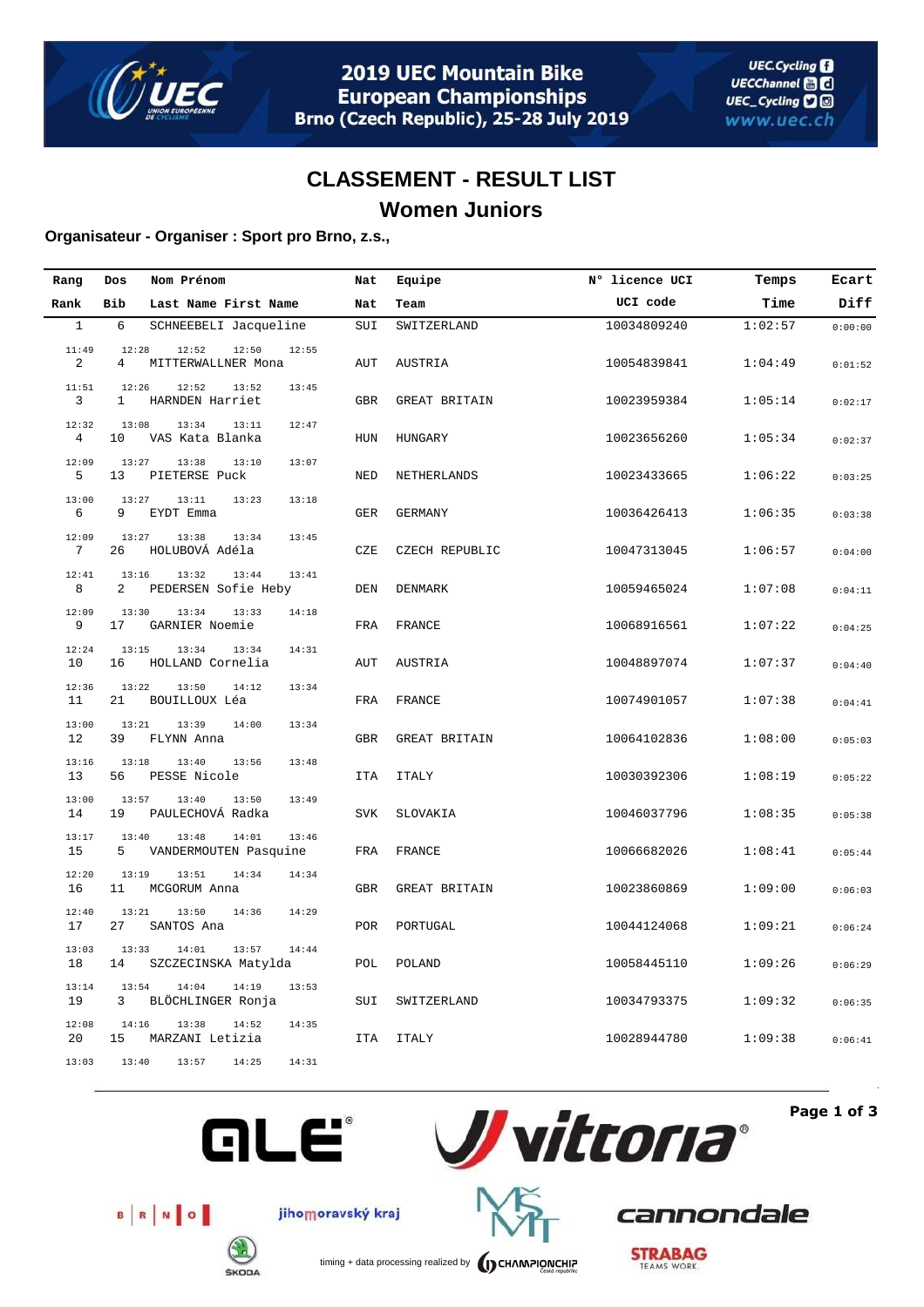

## **CLASSEMENT - RESULT LIST Women Juniors**

### **Organisateur - Organiser : Sport pro Brno, z.s.,**

| Rang                    | Dos                     | Nom Prénom                                       | Nat        | Equipe               | N° licence UCI | Temps   | Ecart   |
|-------------------------|-------------------------|--------------------------------------------------|------------|----------------------|----------------|---------|---------|
| Rank                    | Bib                     | Last Name First Name                             | Nat        | Team                 | UCI code       | Time    | Diff    |
| $\mathbf{1}$            | 6                       | SCHNEEBELI Jacqueline                            | SUI        | SWITZERLAND          | 10034809240    | 1:02:57 | 0:00:00 |
| 11:49<br>2              | 12:28<br>$\overline{4}$ | 12:52<br>12:50<br>12:55<br>MITTERWALLNER Mona    | AUT        | AUSTRIA              | 10054839841    | 1:04:49 | 0:01:52 |
| 11:51<br>3              | 12:26<br>$\mathbf{1}$   | 12:52<br>13:52<br>13:45<br>HARNDEN Harriet       | <b>GBR</b> | GREAT BRITAIN        | 10023959384    | 1:05:14 | 0:02:17 |
| 12:32<br>$\overline{4}$ | 13:08<br>10             | 13:34<br>13:11<br>12:47<br>VAS Kata Blanka       | HUN        | HUNGARY              | 10023656260    | 1:05:34 | 0:02:37 |
| 12:09<br>5              | 13:27<br>13             | 13:38<br>13:10<br>13:07<br>PIETERSE Puck         | NED        | NETHERLANDS          | 10023433665    | 1:06:22 | 0:03:25 |
| 13:00<br>6              | 13:27<br>9              | 13:11<br>13:18<br>13:23<br>EYDT Emma             | <b>GER</b> | <b>GERMANY</b>       | 10036426413    | 1:06:35 | 0:03:38 |
| 12:09<br>7              | 13:27<br>26             | 13:38<br>13:34<br>13:45<br>HOLUBOVÁ Adéla        | CZE        | CZECH REPUBLIC       | 10047313045    | 1:06:57 | 0:04:00 |
| 12:41<br>8              | 13:16<br>2              | 13:32<br>13:44<br>13:41<br>PEDERSEN Sofie Heby   | DEN        | DENMARK              | 10059465024    | 1:07:08 | 0:04:11 |
| 12:09<br>9              | 13:30<br>17             | 13:34<br>13:33<br>14:18<br>GARNIER Noemie        | FRA        | FRANCE               | 10068916561    | 1:07:22 | 0:04:25 |
| 12:24<br>10             | 13:15<br>16             | 13:34<br>14:31<br>13:34<br>HOLLAND Cornelia      | AUT        | AUSTRIA              | 10048897074    | 1:07:37 | 0:04:40 |
| 12:36<br>11             | 13:22<br>21             | 13:50<br>14:12<br>13:34<br>BOUILLOUX Léa         | FRA        | FRANCE               | 10074901057    | 1:07:38 | 0:04:41 |
| 13:00<br>12             | 13:21<br>39             | 13:39<br>14:00<br>13:34<br>FLYNN Anna            | <b>GBR</b> | <b>GREAT BRITAIN</b> | 10064102836    | 1:08:00 | 0:05:03 |
| 13:16<br>13             | 13:18<br>56             | 13:40<br>13:56<br>13:48<br>PESSE Nicole          | ITA        | <b>ITALY</b>         | 10030392306    | 1:08:19 | 0:05:22 |
| 13:00<br>14             | 13:57<br>19             | 13:50<br>13:40<br>13:49<br>PAULECHOVÁ Radka      | <b>SVK</b> | SLOVAKIA             | 10046037796    | 1:08:35 | 0:05:38 |
| 13:17<br>15             | 13:40<br>5              | 13:48<br>14:01<br>13:46<br>VANDERMOUTEN Pasquine | FRA        | FRANCE               | 10066682026    | 1:08:41 | 0:05:44 |
| 12:20<br>16             | 13:19<br>11             | 13:51<br>14:34<br>14:34<br>MCGORUM Anna          | <b>GBR</b> | <b>GREAT BRITAIN</b> | 10023860869    | 1:09:00 | 0:06:03 |
| 12:40<br>17             | 13:21<br>27             | 13:50<br>14:36<br>14:29<br>SANTOS Ana            | POR        | PORTUGAL             | 10044124068    | 1:09:21 | 0:06:24 |
| 13:03<br>18             | 13:33<br>14             | 13:57<br>14:01<br>14:44<br>SZCZECINSKA Matylda   | POL        | POLAND               | 10058445110    | 1:09:26 | 0:06:29 |
| 13:14<br>19             | 13:54<br>3              | 14:04<br>14:19<br>13:53<br>BLÖCHLINGER Ronja     | SUI        | SWITZERLAND          | 10034793375    | 1:09:32 | 0:06:35 |
| 12:08<br>20             | 14:16<br>15             | 13:38<br>14:52<br>14:35<br>MARZANI Letizia       | <b>ITA</b> | <b>ITALY</b>         | 10028944780    | 1:09:38 | 0:06:41 |
| 13:03                   | 13:40                   | 13:57<br>14:25<br>14:31                          |            |                      |                |         |         |







B R NO

**ŠKODA** 

timing + data processing realized by **CHAMPIONCHIP** 

**STRABAG** 

cannondale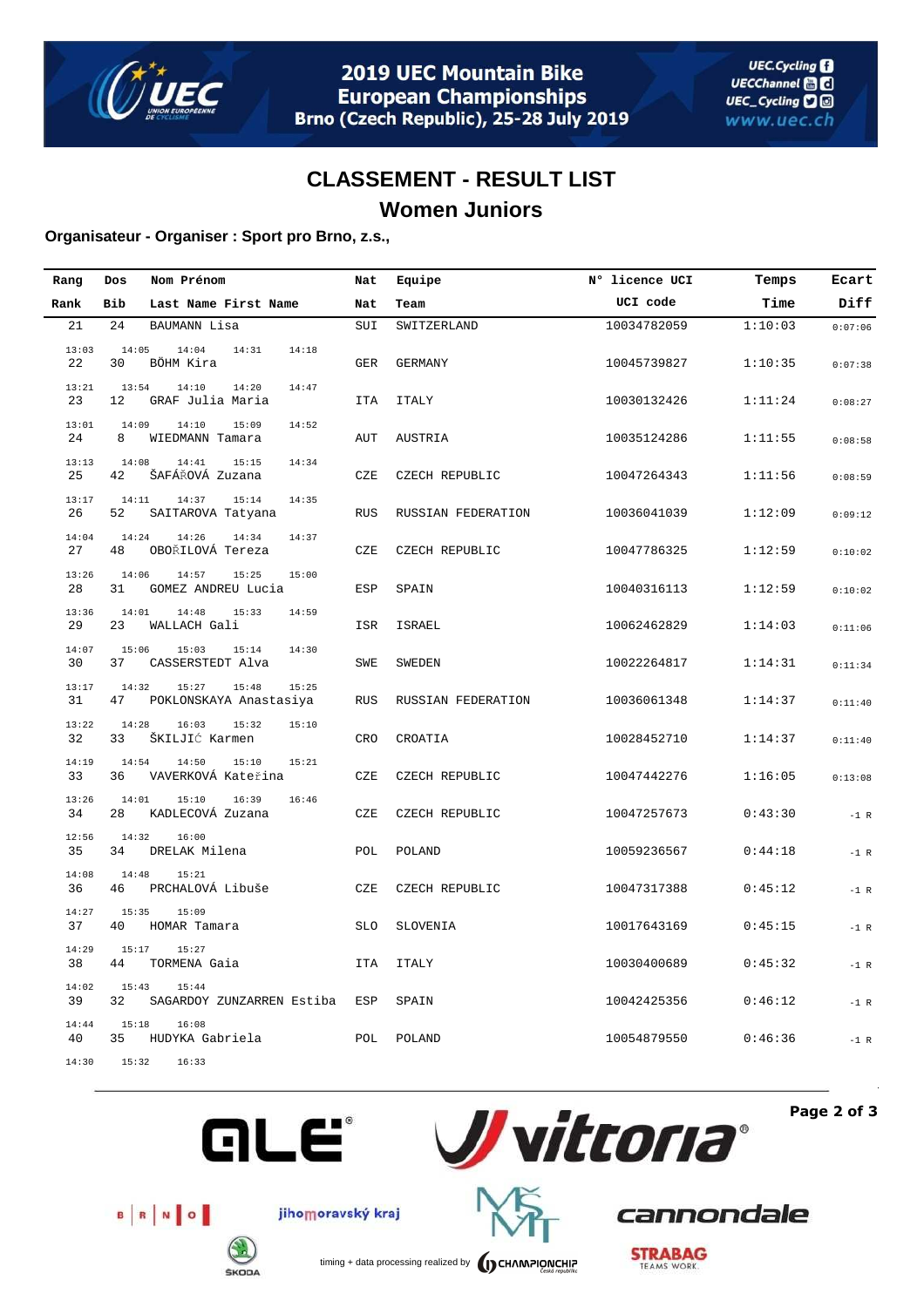

## **CLASSEMENT - RESULT LIST Women Juniors**

### **Organisateur - Organiser : Sport pro Brno, z.s.,**

| Rang        | Dos         | Nom Prénom                                        | Nat        | Equipe             | N° licence UCI | Temps   | Ecart   |
|-------------|-------------|---------------------------------------------------|------------|--------------------|----------------|---------|---------|
| Rank        | Bib         | Last Name First Name                              | Nat        | Team               | UCI code       | Time    | Diff    |
| 21          | 24          | BAUMANN Lisa                                      | SUI        | SWITZERLAND        | 10034782059    | 1:10:03 | 0:07:06 |
| 13:03<br>22 | 14:05<br>30 | 14:04<br>14:31<br>14:18<br>BÖHM Kira              | <b>GER</b> | <b>GERMANY</b>     | 10045739827    | 1:10:35 | 0:07:38 |
| 13:21<br>23 | 13:54<br>12 | 14:10<br>14:20<br>14:47<br>GRAF Julia Maria       | <b>ITA</b> | <b>ITALY</b>       | 10030132426    | 1:11:24 | 0:08:27 |
| 13:01<br>24 | 14:09<br>8  | 14:10<br>15:09<br>14:52<br>WIEDMANN Tamara        | AUT        | AUSTRIA            | 10035124286    | 1:11:55 | 0:08:58 |
| 13:13<br>25 | 14:08<br>42 | 14:41<br>15:15<br>14:34<br>ŠAFÁŘOVÁ Zuzana        | CZE        | CZECH REPUBLIC     | 10047264343    | 1:11:56 | 0:08:59 |
| 13:17<br>26 | 14:11<br>52 | 14:37<br>15:14<br>14:35<br>SAITAROVA Tatyana      | <b>RUS</b> | RUSSIAN FEDERATION | 10036041039    | 1:12:09 | 0:09:12 |
| 14:04<br>27 | 14:24<br>48 | 14:26<br>14:34<br>14:37<br>OBOŘILOVÁ Tereza       | CZE        | CZECH REPUBLIC     | 10047786325    | 1:12:59 | 0:10:02 |
| 13:26<br>28 | 14:06<br>31 | 14:57<br>15:25<br>15:00<br>GOMEZ ANDREU Lucia     | ESP        | SPAIN              | 10040316113    | 1:12:59 | 0:10:02 |
| 13:36<br>29 | 14:01<br>23 | 14:48<br>15:33<br>14:59<br>WALLACH Gali           | ISR        | <b>ISRAEL</b>      | 10062462829    | 1:14:03 | 0:11:06 |
| 14:07<br>30 | 15:06<br>37 | 15:03<br>15:14<br>14:30<br>CASSERSTEDT Alva       | SWE        | SWEDEN             | 10022264817    | 1:14:31 | 0:11:34 |
| 13:17<br>31 | 14:32<br>47 | 15:27<br>15:48<br>15:25<br>POKLONSKAYA Anastasiya | <b>RUS</b> | RUSSIAN FEDERATION | 10036061348    | 1:14:37 | 0:11:40 |
| 13:22<br>32 | 14:28<br>33 | 16:03<br>15:32<br>15:10<br>ŠKILJIĆ Karmen         | CRO        | CROATIA            | 10028452710    | 1:14:37 | 0:11:40 |
| 14:19<br>33 | 14:54<br>36 | 14:50<br>15:10<br>15:21<br>VAVERKOVÁ Kateřina     | CZE        | CZECH REPUBLIC     | 10047442276    | 1:16:05 | 0:13:08 |
| 13:26<br>34 | 14:01<br>28 | 15:10<br>16:39<br>16:46<br>KADLECOVÁ Zuzana       | CZE        | CZECH REPUBLIC     | 10047257673    | 0:43:30 | $-1$ R  |
| 12:56<br>35 | 14:32<br>34 | 16:00<br>DRELAK Milena                            | POL        | POLAND             | 10059236567    | 0:44:18 | $-1$ R  |
| 14:08<br>36 | 14:48<br>46 | 15:21<br>PRCHALOVÁ Libuše                         | CZE        | CZECH REPUBLIC     | 10047317388    | 0:45:12 | $-1$ R  |
| 14:27<br>37 | 15:35<br>40 | 15:09<br>HOMAR Tamara                             | <b>SLO</b> | SLOVENIA           | 10017643169    | 0:45:15 | $-1$ R  |
| 14:29<br>38 | 15:17<br>44 | 15:27<br>TORMENA Gaia                             | <b>ITA</b> | <b>ITALY</b>       | 10030400689    | 0:45:32 | $-1$ R  |
| 14:02<br>39 | 15:43<br>32 | 15:44<br>SAGARDOY ZUNZARREN Estiba                | ESP        | SPAIN              | 10042425356    | 0:46:12 | $-1$ R  |
| 14:44<br>40 | 15:18<br>35 | 16:08<br>HUDYKA Gabriela                          | POL        | POLAND             | 10054879550    | 0:46:36 | $-1$ R  |
| 14:30       | 15:32       | 16:33                                             |            |                    |                |         |         |



**Page 2 of 3**



jihomoravský kraj

**GLE®** 

**ŠKODA** 



cannondale



timing + data processing realized by **CHAMPIONCHIP**